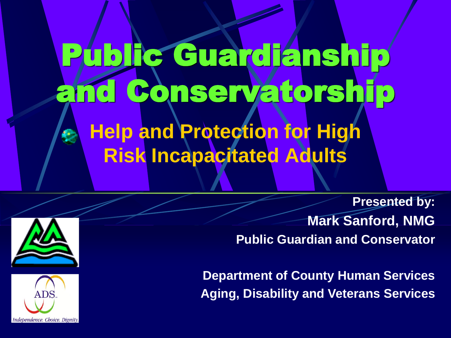Public Guardianship and Conservatorship **Help and Protection for High Risk Incapacitated Adults**

> **Presented by: Mark Sanford, NMG Public Guardian and Conservator**

**Department of County Human Services Aging, Disability and Veterans Services**



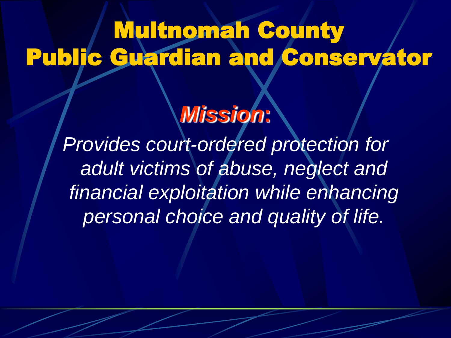### Multnomah County Public Guardian and Conservator

#### *Mission***:**

*Provides court-ordered protection for adult victims of abuse, neglect and financial exploitation while enhancing personal choice and quality of life.*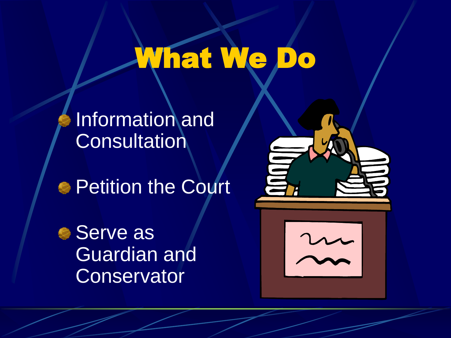## What We Do

Information and **Consultation** 

**Petition the Court** 

● Serve as Guardian and **Conservator** 



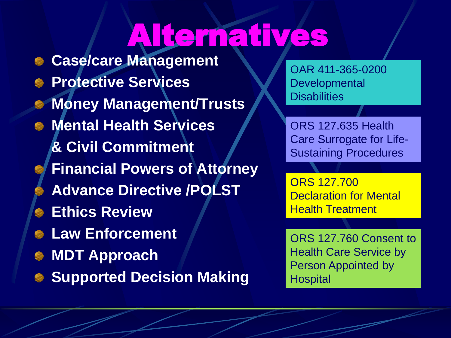## Alternatives

**Case/care Management Protective Services Money Management/Trusts Mental Health Services & Civil Commitment Financial Powers of Attorney Advance Directive /POLST Ethics Review Law Enforcement MDT Approach Supported Decision Making** 

OAR 411-365-0200 **Developmental Disabilities** 

ORS 127.635 Health Care Surrogate for Life-Sustaining Procedures

ORS 127.700 Declaration for Mental Health Treatment

ORS 127.760 Consent to Health Care Service by Person Appointed by **Hospital**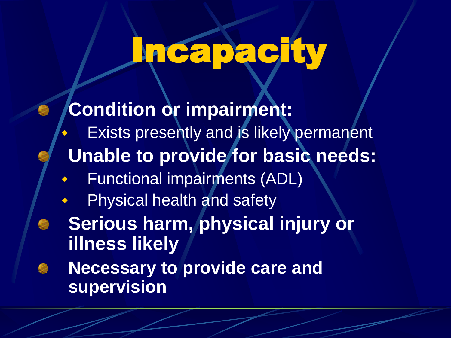# Incapacity

**Condition or impairment:** Exists presently and is likely permanent **Unable to provide for basic needs:** Functional impairments (ADL) Physical health and safety **Serious harm, physical injury or illness likely Necessary to provide care and supervision**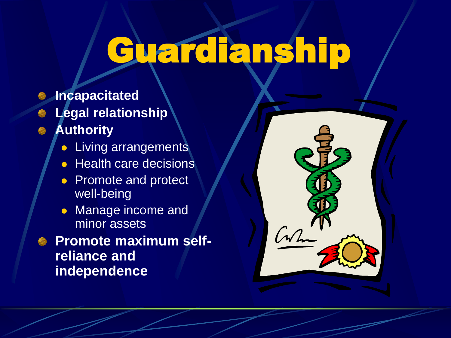## Guardianship

- **Incapacitated**
- **Legal relationship**
- **Authority**
	- ⚫ Living arrangements
	- Health care decisions
	- Promote and protect well-being
	- ⚫ Manage income and minor assets
- **Promote maximum selfreliance and independence**

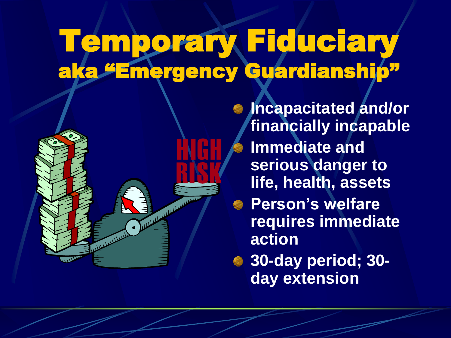### Temporary Fiduciary aka "Emergency Guardianship"



**Incapacitated and/or financially incapable Immediate and serious danger to life, health, assets Person's welfare requires immediate action 30-day period; 30 day extension**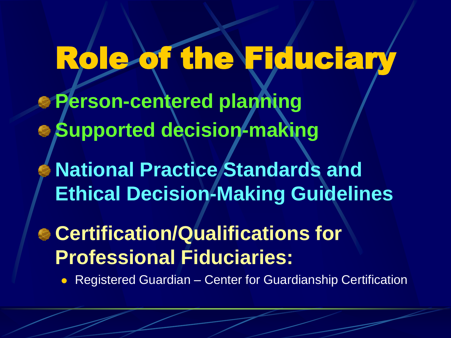## Role of the Fiduciary

- **Person-centered planning**
- **Supported decision-making** 
	- **National Practice Standards and Ethical Decision-Making Guidelines**
- **Certification/Qualifications for Professional Fiduciaries:**
	- ⚫ Registered Guardian Center for Guardianship Certification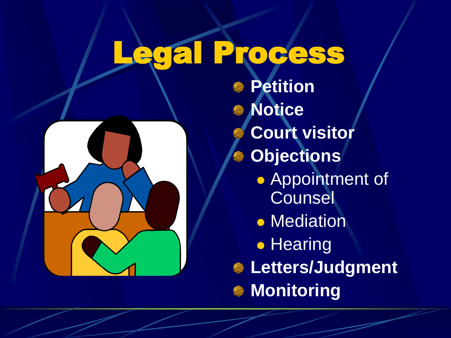## Legal Process



**Petition Notice Court visitor Objections** ⚫ Appointment of **Counsel** ⚫ Mediation ⚫ Hearing **Letters/Judgment Monitoring**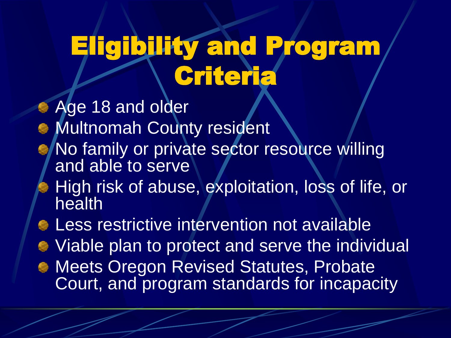### Eligibility and Program Criteria

**Age 18 and older Multnomah County resident** No family or private sector resource willing and able to serve High risk of abuse, exploitation, loss of life, or health **E.** Less restrictive intervention not available Viable plan to protect and serve the individual **Meets Oregon Revised Statutes, Probate** Court, and program standards for incapacity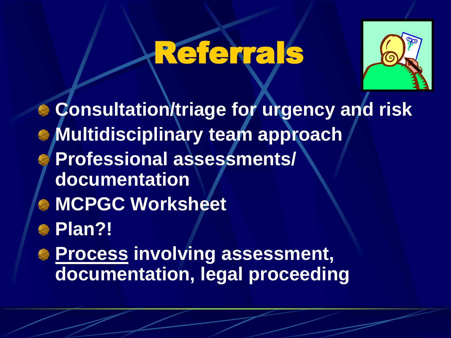## Referrals



**Consultation/triage for urgency and risk Multidisciplinary team approach Professional assessments/ documentation MCPGC Worksheet Plan?! Process involving assessment, documentation, legal proceeding**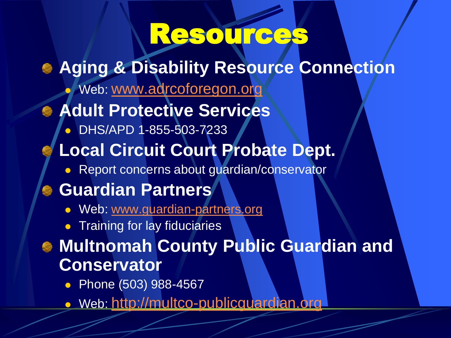### Resources

- **Aging & Disability Resource Connection**
	- ⚫ Web: [www.adrcoforegon.org](http://www.adrcoforegon.org/)

#### **Adult Protective Services**

- ⚫ DHS/APD 1-855-503-7233
- **Local Circuit Court Probate Dept.**
	- ⚫ Report concerns about guardian/conservator

#### **Guardian Partners**

- ⚫ Web: [www.guardian-partners.org](http://www.guardian-partners.org/)
- ⚫ Training for lay fiduciaries

#### **Multnomah County Public Guardian and Conservator**

- Phone (503) 988-4567
- ⚫ Web: [http://multco-publicguardian.org](http://multco-publicguardian.org/)